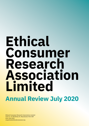# **Ethical Consumer Research Association Limited Annual Review July 2020**

Ethical Consumer Research Association Limited Unit 21, 41 Old Birley St, Manchester M15 5RF 0161 226 2929 enquiries@ethicalconsumer.org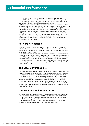I n the year to March 2020 ECRA made a profit of £15,881 on a turnover of £693,802. This is a much improved performance on the loss last year of £40,029 and was a result of strong growth both of magazine subscriptions  $\blacksquare$  sales as well as in demand for its consulting services.

The profit would likely have been greater had the coronavirus pandemic not struck right at the year and prevented us from supplying the usual six magazine issues in the financial year in question (our printers had to close and furlough staff). This means our deferred subsciption income figure for the year was larger than usual. We plan to get back into our usual production cycle during the course of the current year.

This production delay led us to sense check the way we account for deferred subscription income, which we have now changed to more accurately reflect the digital element of the subscription offering. We have also agreed with the Board to change the period over which we are depreciating the cost of building our new websites from five years to seven.

#### **Forward projections**

Since the COVID 19 lockdown we have seen some disruption to the consultancy side of the business as our commercial clients have paused work. However the publishing side of the business continues to see strong growth and subscription levels are now above 11,000.

In last year's review we announced that we had just agreed a new three year plan to take Ethical Consumer from April 2019 to March 2022. Although we have achieved many of the targets within it already (see highlights below), we have had to revise the financial forecasts it contained for this year. It is currently very difficult to predict forward financial pictures for all businesses at this time and, to be cautious, we are now projecting a loss for the current financial year. We do hope to do better and there are encouraging signs.

#### **The COVID 19 Pandemic**

Like most businesses, ECRA began working remotely following the lockdown which began on March 23rd. We were helped by the fact that we already had a few staff working remotely from different cities and so had technical systems in place.

We also implemented a number of cost saving measures, such as making use of government assistance schemes for two of our seventeen staff, and voluntary reductions in staff hours. We have also been adapting our research and content for the world in which we now find ourselves. The new content has been very well received on our website and we have nearly 200,000 monthly readers now. We also ran a successful crowdfunding project to help migrant workers in Spain during the pandemic (see below).

#### **Our investors and interest rate**

During the year, share capital increased from £525,368 to £536,110 with £5,415 being withdrawn during the period and £16,157 of new investment attracted.

It is clear that our investor capital plays an important part in our resilience in periods of uncertainty such as this.

The Board regularly reviews the rate of interest (currently at 3.25%), and any proposed changes agreed by the board will be bought to the AGM.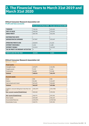## **2. The Financial Years to March 31st 2019 and March 31st 2020**

#### **Ethical Consumer Research Association Ltd Profit and loss accounts**

|                                      |                          | For year to 31 March 2019   For year to 31 March 2020 |
|--------------------------------------|--------------------------|-------------------------------------------------------|
|                                      |                          |                                                       |
| <b>TURNOVER</b>                      | 718,126                  | 693,245                                               |
| <b>COST OF SALES</b>                 | 328,328                  | 239,655                                               |
| <b>GROSS PROFIT</b>                  | 389,798                  | 453,590                                               |
|                                      |                          |                                                       |
| <b>DISTRIBUTION COSTS</b>            | $\overline{\phantom{a}}$ | $\overline{\phantom{a}}$                              |
| <b>ADMINISTRATIVE EXPENSES</b>       | 417,867                  | 422,669                                               |
|                                      |                          |                                                       |
| <b>OPERATING PROFIT/LOSS</b>         | (28,069)                 | 31,633                                                |
| <b>INTEREST RECEIVABLE</b>           | 3,453                    | 1,208                                                 |
| <b>INTEREST PAYABLE</b>              | (15, 413)                | (16,962)                                              |
| TAX ON PROFIT ON ORDINARY ACTIVITIES | $\Omega$                 | 0                                                     |
|                                      |                          |                                                       |
| <b>PROFIT/LOSS FOR THE YEAR</b>      | (40, 029)                | 15,881                                                |

#### **Ethical Consumer Research Association Ltd**

**Balance Sheet**

| <b>Fixed assets</b> |         |         |
|---------------------|---------|---------|
| Intangible Assets   | 109,879 | 126,981 |
| Tangible assets     | 9.747   | 5,265   |
| Investments         | 28,885  | 29,228  |
| <b>Subtotal</b>     | 148,511 | 161,474 |

| <b>Current assets</b>                                   |            |            |
|---------------------------------------------------------|------------|------------|
| <b>Stock</b>                                            | 500        | 500        |
| <b>Debtors</b>                                          | 55,300     | 123,497    |
| Cash at bank and in hand                                | 307,497    | 303,859    |
| <b>Subtotal</b>                                         | 363,297    | 427,856    |
|                                                         |            |            |
| Creditors: amounts falling due in less than one<br>year | (181,037)  | (231,938)  |
| Net current assets/(liabilities)                        | 182,260    | 195,918    |
|                                                         |            |            |
| Net assets/(liabilities)                                | 330,771    | 357,392    |
| <b>Share Capital</b>                                    | 525,368    | 536,110    |
| <b>Accumulated Reserves</b>                             | (194, 597) | (178, 718) |
| <b>Shareholders Funds</b>                               | 330,771    | 357,392    |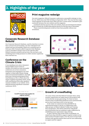# **3. Highlights of the year**



## **Print magazine redesign**

Our print magazine, Ethical Consumer, underwent a successful redesign in time for our 180th issue and 30th birthday in September 2019. This was the first major visual upgrade we had made since 2005 and was, to some extent, intended to give continuity between the new website and the magazine.

Combined with the success of the new website, these new developments helped ECRA to breach the 10,000 subscriptions barrier for the first time in December.

These crucial developments would not have been possible without your investment.

#### **Corporate Research Database Rebuild**

Our Corporate Research Database, used by charities to screen their commercial partnerships, was also redesigned and rebuilt and was successfully rolled out to existing users in February 2020. Formerly called Corporate Critic Database, it was re-branded to bring it more in line with the other Ethical Consumer products and services. We now have a new marketing team to help promote it in 2020. Investor capital has been vital here too.

#### **Conference on the Climate Crisis**

It was standing room only at Amnesty's Human Rights Action Centre in October as we held our most successful conference yet on how consumers, businesses and campaigners can work together to help tackle climate change and environmental breakdown. One high point was a barnstorming speech from Asad Rehman at War on Want about the impact of global inequalities which, along with contributions from other speakers, remains available on our website. (www. ethicalconsumer.org/ethical-consumerconference-2019).





## **Growth of crowdfuding**

 For some of the work that Ethical Consumer does, using investor capital does not make sense as the projects may not be directly income generating. For these we have started using crowdfunding platforms more systematically, and we have used these twice in the last year.

In the winter we raised more than £28,000 for an experimental project to devise, in collaboration with other groups, an Ethical Lifestyle Toolkit and Training (ELT) programme. This will be tailored for individuals and communities that are seeking to make a difference by establishing more regenerative ways of living.

In April, with the onset of the COVID 19 pandemic, we raised more than £25,000 to support migrant workers in the poly tunnels of Southern Spain. Over the years we have built contacts with specific projects there and we were addressing an urgent need for support.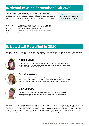# **4. Virtual AGM on September 25th 2020**

Our Annual General Meetings are the main opportunity during the year for investors to meet and share ideas and plans. This year we will be holding the event remotely for the first time. We do hope you will be able to attend. If you would like to join us, please email finance@ethicalconsumer.org. We will then send a zoom link or number to call on the morning of the event to your email address.

AGM

Date **Friday 25th September** Time **12.00 noon – 1.30 pm**

| $\vert$ 12.00 noon | Introductions of attendees. Presentations from ECRA staff updating<br>attendees on the current position and highlights since this report. |
|--------------------|-------------------------------------------------------------------------------------------------------------------------------------------|
| $12.30$ pm         | Formal AGM – including approval of accounts.                                                                                              |
| $1.00$ pm          | Questions and answers between ECRA investors and our Board                                                                                |
| $1.30 \text{ pm}$  | Close                                                                                                                                     |

# **5. New Staff Recruited in 2020**

This year we recruited 3 new staff members. They only had a few weeks with us in the office before lockdown started and they we all had to work from home. We are pleased to say that, despite this, they are fitting in well and making useful contributions.



## **Nadine Oliver**

Nadine has joined our subscription team to help with the growing subscriptions. Nadine previously worked as a marketing executive for a recruitment organisation. She is active with her local XR group.



#### **Jasmine Owens**

Jasmine is an activist mainly involved with Palestinian and animal rights causes. For the last three years she has worked as an information officer with V for Life, a charity that supports older vegan and vegetarians. She joins us as a writer and researcher.



## **Billy Saundry**

Last year Billy completed an MSc in Ecological Economics at Leeds University which will no doubt be increasingly useful in his role as one of the newest writers and researchers at Ethical Consumer.

They were recruited to add to our capacity during this period of growth and to replace Joanna Long who left at the end of 2019. Joanna moved to Scotland to be nearer to her family and is now Finance Project Manager at the Scottish Wildlife Trust.

Joanna, as well as being a writer and researcher, played a key role in strategic planning in her work on the finance team and as a Worker Director on the ECRA board. You may have come accross her in her work with our members. We would like to thank Joanna for her important contribution at Ethical Consumer and wish her well in her new job.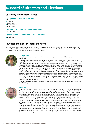# **6. Board of Directors and Elections**

## **Currently the Directors are:**

#### **5 worker directors (elected by the staff)**

- Rob Harrison
- **Tim Hunt**
- **C** Anna Clayton
- **C** Elizabeth Chater
- **Alex Crumbie**

#### **1 non-executive director (appointed by the board)**

l Shaun Fensom

#### **2 investor member directors (elected by the members)**

- **•** Fiona Nicholls
- **O** Dan Welch

## **Investor-Member Director elections**

This year, possibly as a result of nominations being open during a pandemic, we received only two nominations from our current directors Fiona and Dan. Since there are two Investor Director posts we will not be holding a contested election this year. We have included their nominations by way of information.



#### **Fiona Nicholls**

I'm well into my second year on the EC Board and, having settled in, it would be great to continue for a further term.

I've been an Ethical Consumer (EC) supporter for several years, investing in loanstock in 2003 and enjoying EC resources ever since. I was a Founder Member and Director (2012-2016) of community energy enterprise St John's sunshine, and continue to be an investor member of Stockport Hydro and The Phone Coop. I was also a Non Exec-Director and Vice Chair of the latter (2015-2018), now part of The Midcounties Co-operative. As well as a passion for co-ops, the environment is extremely dear to my heart and I've built a career around doing my best to protect it. After 20 years consultancy, including as part of Sustainable Change Co-operative, a business I help found, I've taken a change of direction. Up until 2015 I'd mostly been part of smaller sustainability-focussed enterprises but I've long believed that much more can be done to engage people not already as deeply engaged as subscribers to EC. Currently, I'm Head of Assurance & Environment at Gowling WLG UKLLP, a global corporate law firm, driving environment and audit strategy, overseeing international standards/certifications (e.g. ISO14001, ISO9001) and supporting good governance. My professional and personal goals include a desire to make environmental leaders of my 1,200 colleagues and myself redundant in that role!

I would love to continue to be part of the team, building on a tide of change, and supporting ECRA through the COVID-19 pandemic.



#### **Dan Welch**

From 2006-2011 I was a writer-researcher at Ethical Consumer, becoming a co-editor of the magazine. This gives me a unique perspective into the challenges and potentials of the organisation. I joined the Board in 2008 when the organisation became a multi-stakeholder co-operative, initially as a Worker Director and subsequently representing Investor-Members, and so have long term experience and understanding of how the Board can contribute to the organisation and its mission. I left Ethical Consumer to concentrate on finishing a PhD in sustainability communications and since then have worked as a researcher at the University of Manchester's Sustainable Consumption Institute and as a lecturer in the Sociology Department. I can bring this expertise and experience to the Board: including working with a range of stakeholders, such as funding agencies, research groups, corporations, and NGOs; managing major project funding; research and writing for different audiences; as well as an in-depth understanding of a number of the topics and issues with which Ethical Consumer is engaged. I have also worked in a consultancy capacity for organisations including academic publishers, ethical businesses, Defra and, most recently, the Stanley Center for Peace and Security. I can thus also bring to Ethical Consumer an experience in, and an understanding of, the consultancy market – which has over the years become an important source of revenue for Ethical Consumer.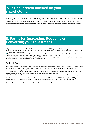## **7. Tax on interest accrued on your shareholding**

When ECRA converted to an Industrial and Provident Society in October 2008, we were no longer permitted by law to deduct tax from interest accrued in shares. Investors may therefore need to do this in their own tax returns.

We are however required to send Revenue and Customs a list of all the names and addresses of investor members who have earned interest of more than £200 on their holdings in the preceding period. Most of our investors do not fall into this bracket.

# **8. Forms for Increasing, Reducing or Converting your Investment**

l If you are already a member and would like to invest further money in ECRA, please fill in Form A on page 8. Shares attract interest at 3.25%. Alternatively you may send an email to finance@ethicalconsumer.org using the same wording as the form if you wish to invest by bank transfer.

l If you are a shareholder and you would like to reclaim some or all of your investment, please fill in Form B below. Alternatively you may send an email to finance@ethicalconsumer.org using the same wording as the form.

l If you wish to become a new investor you will need to fill in the new member application form at Form C below. Shares attract interest at (currently) 3.25% and have additional member benefits.

## **Code of Practice**

ECRA, unlike banks and building societies, is not subject to prudential supervision by the Financial Conduct Authority. Ethical Consumer abides by a code of practice which requires it to provide a statement to its shareholders on the nature of their investment and any change affecting it.

The position you occupy as a shareholder of ECRA is no different from that of a shareholder in any other corporate body in the sense that, if ECRA fails, you may not have all, or any of your investment returned to you.

Your liability, however, does not extend beyond your own investment. Your investment is withdrawable without penalty.

If you have any questions regarding the code, please address them to: **The Secretary, ECRA, Unit 21, 41 Old Birley St, Manchester, M15 5RF.** Please contact Ethical Consumer for more information where required on **0161 226 2929**.

Thank you for investing in Ethical Consumer Research Association Limited.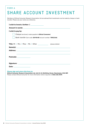| <b>FORM A</b>                                                                                                                                                                                                                  |
|--------------------------------------------------------------------------------------------------------------------------------------------------------------------------------------------------------------------------------|
| SHARE ACCOUNT INVESTMENT                                                                                                                                                                                                       |
| Members of Ethical Consumer Research Association Ltd are advised that investments can be made by cheque or bank<br>transfer. Please use your name as a reference.                                                              |
| I wish to invest a further: $E$ ______________                                                                                                                                                                                 |
|                                                                                                                                                                                                                                |
| I wish to pay by:                                                                                                                                                                                                              |
| Cheque (enclosed, made payable to Ethical Consumer)                                                                                                                                                                            |
| Bank transfer (Sort code: 08-90-00 Account number: 70923146)                                                                                                                                                                   |
| <b>Title:</b> Mr   Mrs   Miss   Ms   Other ________________ (please delete)                                                                                                                                                    |
| Name(s): Name (s) and the second contract of the second contract of the second contract of the second contract of the second contract of the second contract of the second contract of the second contract of the second contr |
|                                                                                                                                                                                                                                |
| Postcode: with a state of the state of the state of the state of the state of the state of the state of the state of the state of the state of the state of the state of the state of the state of the state of the state of t |
|                                                                                                                                                                                                                                |
|                                                                                                                                                                                                                                |
| Please sign and return this form to:<br>Ethical Consumer Research Association Ltd, Unit 21 41 Old Birley Street, Manchester, M15 5RF.<br>Please contact Ethical Consumer for more information where required on 0161 226 2929. |
|                                                                                                                                                                                                                                |
|                                                                                                                                                                                                                                |
|                                                                                                                                                                                                                                |
|                                                                                                                                                                                                                                |
|                                                                                                                                                                                                                                |
|                                                                                                                                                                                                                                |
|                                                                                                                                                                                                                                |
|                                                                                                                                                                                                                                |
|                                                                                                                                                                                                                                |
|                                                                                                                                                                                                                                |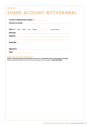# FORM B SHARE ACCOUNT WITHDRAWAL **I wish to withdraw/be repaid:** £

| Title: Mr   Mrs   Miss   Ms   Other _____________ | (please delete) |
|---------------------------------------------------|-----------------|
|                                                   |                 |
|                                                   |                 |
|                                                   |                 |
| Postcode: New York Postcode:                      |                 |
|                                                   |                 |
|                                                   |                 |
|                                                   |                 |

**Please sign and return this form to:** 

**Ethical Consumer Research Association Ltd, Unit 21 41 Old Birley Street, Manchester, M15 5RF**. Please contact Ethical Consumer for more information where required on **0161 226 2929**.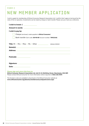| FORM C                                                                                                                                                                                                                                        |
|-----------------------------------------------------------------------------------------------------------------------------------------------------------------------------------------------------------------------------------------------|
| NEW MEMBER APPLICATION                                                                                                                                                                                                                        |
| I wish to apply for membership of Ethical Consumer Research Association Ltd. I confirm that I agree to be bound by the<br>rules of the co-operative. Investments can be made by cheque or bank transfer Please use your name as a reference.  |
| I wish to invest: $E$ ______________                                                                                                                                                                                                          |
| I wish to pay by:<br>Cheque (enclosed, made payable to Ethical Consumer)<br>Bank transfer (Sort code: 08-90-00 Account number: 70923146)                                                                                                      |
| Title: Mr   Mrs   Miss   Ms   Other ____________<br>(please delete)                                                                                                                                                                           |
|                                                                                                                                                                                                                                               |
| Postcode: _______________                                                                                                                                                                                                                     |
| <b>Please sign and return this form to:</b><br>Ethical Consumer Research Association Ltd, Unit 21 41 Old Birley Street, Manchester, M15 5RF.                                                                                                  |
| Please contact Ethical Consumer for more information where required on 0161 226 2929.<br>The Society's rules are available to download on the Ethical Consumer website at<br>www.ethicalconsumer.org/aboutus/membersarea/uniquestructure.aspx |
|                                                                                                                                                                                                                                               |
|                                                                                                                                                                                                                                               |
|                                                                                                                                                                                                                                               |
|                                                                                                                                                                                                                                               |
|                                                                                                                                                                                                                                               |
|                                                                                                                                                                                                                                               |